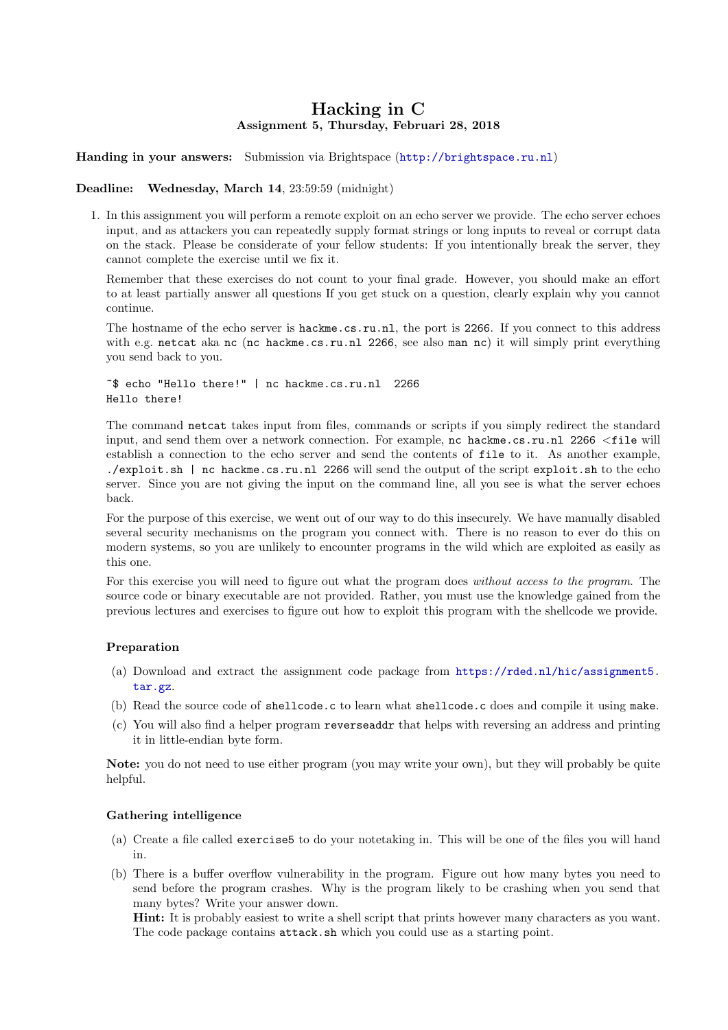# Hacking in C Assignment 5, Thursday, Februari 28, 2018

## Handing in your answers: Submission via Brightspace (<http://brightspace.ru.nl>)

#### Deadline: Wednesday, March 14, 23:59:59 (midnight)

1. In this assignment you will perform a remote exploit on an echo server we provide. The echo server echoes input, and as attackers you can repeatedly supply format strings or long inputs to reveal or corrupt data on the stack. Please be considerate of your fellow students: If you intentionally break the server, they cannot complete the exercise until we fix it.

Remember that these exercises do not count to your final grade. However, you should make an effort to at least partially answer all questions If you get stuck on a question, clearly explain why you cannot continue.

The hostname of the echo server is hackme.cs.ru.nl, the port is 2266. If you connect to this address with e.g. netcat aka nc (nc hackme.cs.ru.nl 2266, see also man nc) it will simply print everything you send back to you.

~\$ echo "Hello there!" | nc hackme.cs.ru.nl 2266 Hello there!

The command netcat takes input from files, commands or scripts if you simply redirect the standard input, and send them over a network connection. For example, nc hackme.cs.ru.nl 2266 <file will establish a connection to the echo server and send the contents of file to it. As another example, ./exploit.sh | nc hackme.cs.ru.nl 2266 will send the output of the script exploit.sh to the echo server. Since you are not giving the input on the command line, all you see is what the server echoes back.

For the purpose of this exercise, we went out of our way to do this insecurely. We have manually disabled several security mechanisms on the program you connect with. There is no reason to ever do this on modern systems, so you are unlikely to encounter programs in the wild which are exploited as easily as this one.

For this exercise you will need to figure out what the program does without access to the program. The source code or binary executable are not provided. Rather, you must use the knowledge gained from the previous lectures and exercises to figure out how to exploit this program with the shellcode we provide.

## Preparation

- (a) Download and extract the assignment code package from [https://rded.nl/hic/assignment5.](https://rded.nl/hic/assignment5.tar.gz) [tar.gz](https://rded.nl/hic/assignment5.tar.gz).
- (b) Read the source code of shellcode.c to learn what shellcode.c does and compile it using make.
- (c) You will also find a helper program reverseaddr that helps with reversing an address and printing it in little-endian byte form.

Note: you do not need to use either program (you may write your own), but they will probably be quite helpful.

## Gathering intelligence

- (a) Create a file called exercise5 to do your notetaking in. This will be one of the files you will hand in.
- (b) There is a buffer overflow vulnerability in the program. Figure out how many bytes you need to send before the program crashes. Why is the program likely to be crashing when you send that many bytes? Write your answer down.

Hint: It is probably easiest to write a shell script that prints however many characters as you want. The code package contains attack.sh which you could use as a starting point.